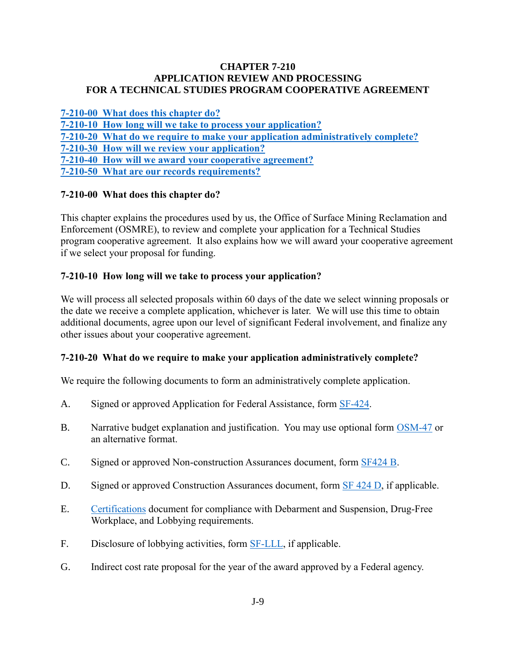#### **CHAPTER 7-210 APPLICATION REVIEW AND PROCESSING FOR A TECHNICAL STUDIES PROGRAM COOPERATIVE AGREEMENT**

**[7-210-00 What does this chapter do?](#page-0-0)**

**[7-210-10 How long will we take to process your application?](#page-0-1)**

**[7-210-20 What do we require to make your application administratively complete?](#page-0-2)**

**[7-210-30 How will we review your application?](#page-1-0)**

<span id="page-0-0"></span>**[7-210-40 How will we award your cooperative agreement?](#page-1-1)**

**[7-210-50 What are our records requirements?](#page-2-0)**

## **7-210-00 What does this chapter do?**

This chapter explains the procedures used by us, the Office of Surface Mining Reclamation and Enforcement (OSMRE), to review and complete your application for a Technical Studies program cooperative agreement. It also explains how we will award your cooperative agreement if we select your proposal for funding.

### <span id="page-0-1"></span>**7-210-10 How long will we take to process your application?**

We will process all selected proposals within 60 days of the date we select winning proposals or the date we receive a complete application, whichever is later. We will use this time to obtain additional documents, agree upon our level of significant Federal involvement, and finalize any other issues about your cooperative agreement.

#### <span id="page-0-2"></span>**7-210-20 What do we require to make your application administratively complete?**

We require the following documents to form an administratively complete application.

- A. Signed or approved Application for Federal Assistance, form [SF-424.](http://apply07.grants.gov/apply/forms/sample/SF424_2_1-V2.1.pdf)
- B. Narrative budget explanation and justification. You may use optional form [OSM-47](http://www.osmre.gov/resources/forms/OSM47.pdf) or an alternative format.
- C. Signed or approved Non-construction Assurances document, form [SF424 B.](http://apply07.grants.gov/apply/forms/sample/SF424B-V1.1.pdf)
- D. Signed or approved Construction Assurances document, form [SF 424 D,](http://apply07.grants.gov/apply/forms/sample/SF424D-V1.1.pdf) if applicable.
- E. [Certifications](http://www.osmre.gov/resources/forms/Certifications.pdf) document for compliance with Debarment and Suspension, Drug-Free Workplace, and Lobbying requirements.
- F. Disclosure of lobbying activities, form **SF-LLL**, if applicable.
- G. Indirect cost rate proposal for the year of the award approved by a Federal agency.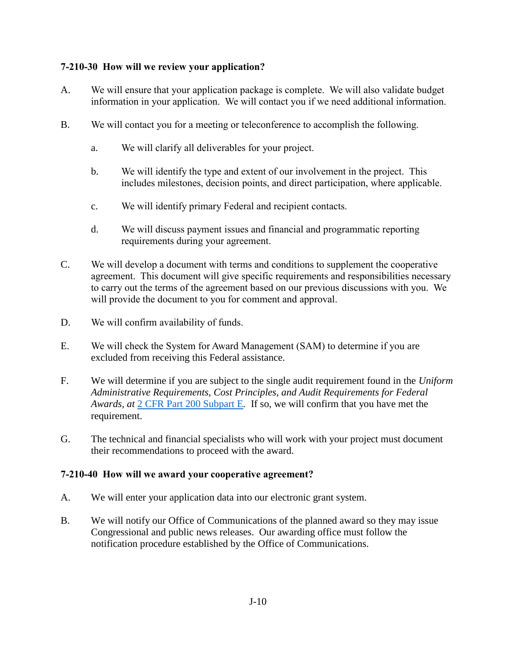## <span id="page-1-0"></span>**7-210-30 How will we review your application?**

- A. We will ensure that your application package is complete. We will also validate budget information in your application. We will contact you if we need additional information.
- B. We will contact you for a meeting or teleconference to accomplish the following.
	- a. We will clarify all deliverables for your project.
	- b. We will identify the type and extent of our involvement in the project. This includes milestones, decision points, and direct participation, where applicable.
	- c. We will identify primary Federal and recipient contacts.
	- d. We will discuss payment issues and financial and programmatic reporting requirements during your agreement.
- C. We will develop a document with terms and conditions to supplement the cooperative agreement. This document will give specific requirements and responsibilities necessary to carry out the terms of the agreement based on our previous discussions with you. We will provide the document to you for comment and approval.
- D. We will confirm availability of funds.
- E. We will check the System for Award Management (SAM) to determine if you are excluded from receiving this Federal assistance.
- F. We will determine if you are subject to the single audit requirement found in the *Uniform Administrative Requirements, Cost Principles, and Audit Requirements for Federal Awards, at* [2 CFR Part 200 Subpart E](http://www.ecfr.gov/cgi-bin/text-idx?SID=704683b1fd8e579c28d796d8b73e0e79&node=pt2.1.200&rgn=div5)*.* If so, we will confirm that you have met the requirement.
- G. The technical and financial specialists who will work with your project must document their recommendations to proceed with the award.

## <span id="page-1-1"></span>**7-210-40 How will we award your cooperative agreement?**

- A. We will enter your application data into our electronic grant system.
- B. We will notify our Office of Communications of the planned award so they may issue Congressional and public news releases. Our awarding office must follow the notification procedure established by the Office of Communications.